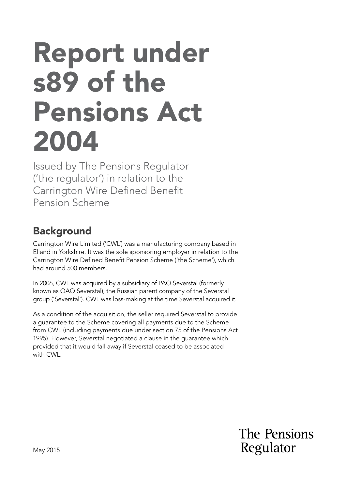# Report under s89 of the Pensions Act 2004

Issued by The Pensions Regulator ('the regulator') in relation to the Carrington Wire Defined Benefit Pension Scheme

## **Background**

Carrington Wire Limited ('CWL') was a manufacturing company based in Elland in Yorkshire. It was the sole sponsoring employer in relation to the Carrington Wire Defned Beneft Pension Scheme ('the Scheme'), which had around 500 members.

In 2006, CWL was acquired by a subsidiary of PAO Severstal (formerly known as OAO Severstal), the Russian parent company of the Severstal group ('Severstal'). CWL was loss-making at the time Severstal acquired it.

As a condition of the acquisition, the seller required Severstal to provide a guarantee to the Scheme covering all payments due to the Scheme from CWL (including payments due under section 75 of the Pensions Act 1995). However, Severstal negotiated a clause in the guarantee which provided that it would fall away if Severstal ceased to be associated with CWL.

> The Pensions Regulator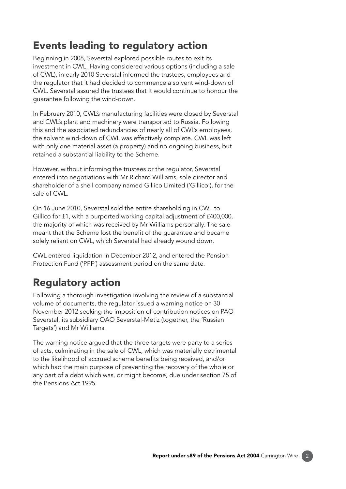### Events leading to regulatory action

Beginning in 2008, Severstal explored possible routes to exit its investment in CWL. Having considered various options (including a sale of CWL), in early 2010 Severstal informed the trustees, employees and the regulator that it had decided to commence a solvent wind-down of CWL. Severstal assured the trustees that it would continue to honour the guarantee following the wind-down.

In February 2010, CWL's manufacturing facilities were closed by Severstal and CWL's plant and machinery were transported to Russia. Following this and the associated redundancies of nearly all of CWL's employees, the solvent wind-down of CWL was effectively complete. CWL was left with only one material asset (a property) and no ongoing business, but retained a substantial liability to the Scheme.

However, without informing the trustees or the regulator, Severstal entered into negotiations with Mr Richard Williams, sole director and shareholder of a shell company named Gillico Limited ('Gillico'), for the sale of CWL.

On 16 June 2010, Severstal sold the entire shareholding in CWL to Gillico for £1, with a purported working capital adjustment of £400,000, the majority of which was received by Mr Williams personally. The sale meant that the Scheme lost the beneft of the guarantee and became solely reliant on CWL, which Severstal had already wound down.

CWL entered liquidation in December 2012, and entered the Pension Protection Fund ('PPF') assessment period on the same date.

# Regulatory action

Following a thorough investigation involving the review of a substantial volume of documents, the regulator issued a warning notice on 30 November 2012 seeking the imposition of contribution notices on PAO Severstal, its subsidiary OAO Severstal-Metiz (together, the 'Russian Targets') and Mr Williams.

The warning notice argued that the three targets were party to a series of acts, culminating in the sale of CWL, which was materially detrimental to the likelihood of accrued scheme benefts being received, and/or which had the main purpose of preventing the recovery of the whole or any part of a debt which was, or might become, due under section 75 of the Pensions Act 1995.

2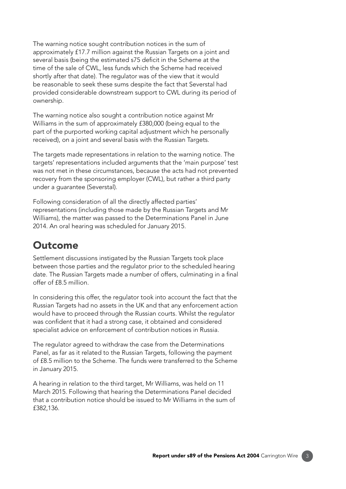The warning notice sought contribution notices in the sum of approximately £17.7 million against the Russian Targets on a joint and several basis (being the estimated s75 deficit in the Scheme at the time of the sale of CWL, less funds which the Scheme had received shortly after that date). The regulator was of the view that it would be reasonable to seek these sums despite the fact that Severstal had provided considerable downstream support to CWL during its period of ownership.

The warning notice also sought a contribution notice against Mr Williams in the sum of approximately £380,000 (being equal to the part of the purported working capital adjustment which he personally received), on a joint and several basis with the Russian Targets.

The targets made representations in relation to the warning notice. The targets' representations included arguments that the 'main purpose' test was not met in these circumstances, because the acts had not prevented recovery from the sponsoring employer (CWL), but rather a third party under a guarantee (Severstal).

Following consideration of all the directly affected parties' representations (including those made by the Russian Targets and Mr Williams), the matter was passed to the Determinations Panel in June 2014. An oral hearing was scheduled for January 2015.

#### Outcome

Settlement discussions instigated by the Russian Targets took place between those parties and the regulator prior to the scheduled hearing date. The Russian Targets made a number of offers, culminating in a final offer of £8.5 million.

In considering this offer, the regulator took into account the fact that the Russian Targets had no assets in the UK and that any enforcement action would have to proceed through the Russian courts. Whilst the regulator was confident that it had a strong case, it obtained and considered specialist advice on enforcement of contribution notices in Russia.

The regulator agreed to withdraw the case from the Determinations Panel, as far as it related to the Russian Targets, following the payment of £8.5 million to the Scheme. The funds were transferred to the Scheme in January 2015.

A hearing in relation to the third target, Mr Williams, was held on 11 March 2015. Following that hearing the Determinations Panel decided that a contribution notice should be issued to Mr Williams in the sum of £382,136.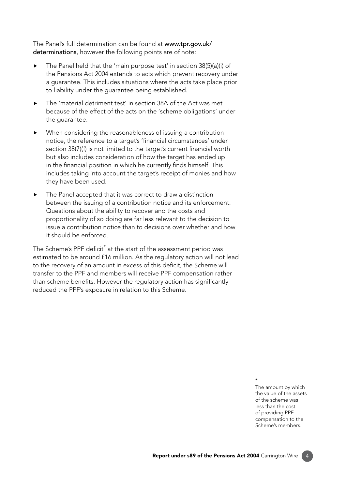[The Panel's full determination can be found at](https://www.thepensionsregulator.gov.uk/en/document-library/enforcement-activity/determination-notices) www.tpr.gov.uk/ determinations, however the following points are of note:

- ▶ The Panel held that the 'main purpose test' in section 38(5)(a)(i) of the Pensions Act 2004 extends to acts which prevent recovery under a guarantee. This includes situations where the acts take place prior to liability under the guarantee being established.
- ▶ The 'material detriment test' in section 38A of the Act was met because of the effect of the acts on the 'scheme obligations' under the guarantee.
- When considering the reasonableness of issuing a contribution notice, the reference to a target's 'fnancial circumstances' under section 38(7)(f) is not limited to the target's current financial worth but also includes consideration of how the target has ended up in the financial position in which he currently finds himself. This includes taking into account the target's receipt of monies and how they have been used.
- $\blacktriangleright$  The Panel accepted that it was correct to draw a distinction between the issuing of a contribution notice and its enforcement. Questions about the ability to recover and the costs and proportionality of so doing are far less relevant to the decision to issue a contribution notice than to decisions over whether and how it should be enforced.

The Scheme's PPF deficit $^*$  at the start of the assessment period was estimated to be around £16 million. As the regulatory action will not lead to the recovery of an amount in excess of this deficit, the Scheme will transfer to the PPF and members will receive PPF compensation rather than scheme benefits. However the regulatory action has significantly reduced the PPF's exposure in relation to this Scheme.

> \* The amount by which the value of the assets of the scheme was less than the cost of providing PPF compensation to the Scheme's members.